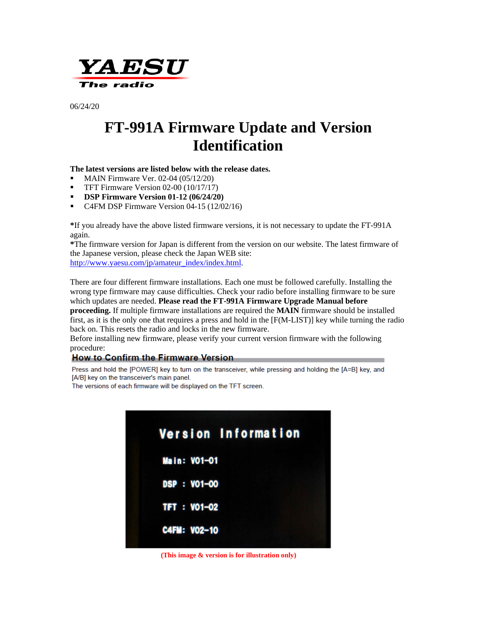

06/24/20

# **FT-991A Firmware Update and Version Identification**

### **The latest versions are listed below with the release dates.**

- $\blacksquare$  MAIN Firmware Ver. 02-04 (05/12/20)
- **TFT Firmware Version 02-00 (10/17/17)**
- **DSP Firmware Version 01-12 (06/24/20)**
- C4FM DSP Firmware Version 04-15 (12/02/16)

**\***If you already have the above listed firmware versions, it is not necessary to update the FT-991A again.

**\***The firmware version for Japan is different from the version on our website. The latest firmware of the Japanese version, please check the Japan WEB site:

[http://www.yaesu.com/jp/amateur\\_index/index.html.](http://www.yaesu.com/jp/amateur_index/index.html)

There are four different firmware installations. Each one must be followed carefully. Installing the wrong type firmware may cause difficulties. Check your radio before installing firmware to be sure which updates are needed. **Please read the FT-991A Firmware Upgrade Manual before proceeding.** If multiple firmware installations are required the **MAIN** firmware should be installed first, as it is the only one that requires a press and hold in the [F(M-LIST)] key while turning the radio back on. This resets the radio and locks in the new firmware.

Before installing new firmware, please verify your current version firmware with the following procedure:

### **How to Confirm the Firmware Version**

Press and hold the [POWER] key to turn on the transceiver, while pressing and holding the [A=B] key, and [A/B] key on the transceiver's main panel.

The versions of each firmware will be displayed on the TFT screen.



 **(This image & version is for illustration only)**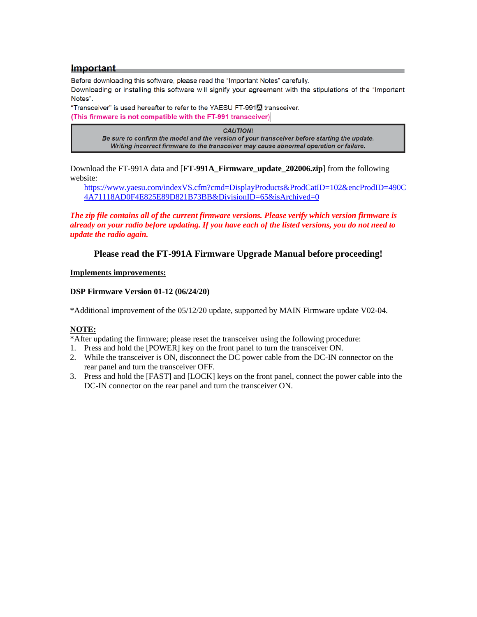#### Important

Before downloading this software, please read the "Important Notes" carefully.

Downloading or installing this software will signify your agreement with the stipulations of the "Important Notes".

"Transceiver" is used hereafter to refer to the YAESU FT-991<sup>7</sup> transceiver. (This firmware is not compatible with the FT-991 transceiver)

> **CAUTION!** Be sure to confirm the model and the version of your transceiver before starting the update. Writing incorrect firmware to the transceiver may cause abnormal operation or failure.

Download the FT-991A data and [**FT-991A\_Firmware\_update\_202006.zip**] from the following website:

[https://www.yaesu.com/indexVS.cfm?cmd=DisplayProducts&ProdCatID=102&encProdID=490C](https://www.yaesu.com/indexVS.cfm?cmd=DisplayProducts&ProdCatID=102&encProdID=490C4A71118AD0F4E825E89D821B73BB&DivisionID=65&isArchived=0) [4A71118AD0F4E825E89D821B73BB&DivisionID=65&isArchived=0](https://www.yaesu.com/indexVS.cfm?cmd=DisplayProducts&ProdCatID=102&encProdID=490C4A71118AD0F4E825E89D821B73BB&DivisionID=65&isArchived=0)

*The zip file contains all of the current firmware versions. Please verify which version firmware is already on your radio before updating. If you have each of the listed versions, you do not need to update the radio again.* 

**Please read the FT-991A Firmware Upgrade Manual before proceeding!**

#### **Implements improvements:**

#### **DSP Firmware Version 01-12 (06/24/20)**

\*Additional improvement of the 05/12/20 update, supported by MAIN Firmware update V02-04.

### **NOTE:**

\*After updating the firmware; please reset the transceiver using the following procedure:

- 1. Press and hold the [POWER] key on the front panel to turn the transceiver ON.
- 2. While the transceiver is ON, disconnect the DC power cable from the DC-IN connector on the rear panel and turn the transceiver OFF.
- 3. Press and hold the [FAST] and [LOCK] keys on the front panel, connect the power cable into the DC-IN connector on the rear panel and turn the transceiver ON.